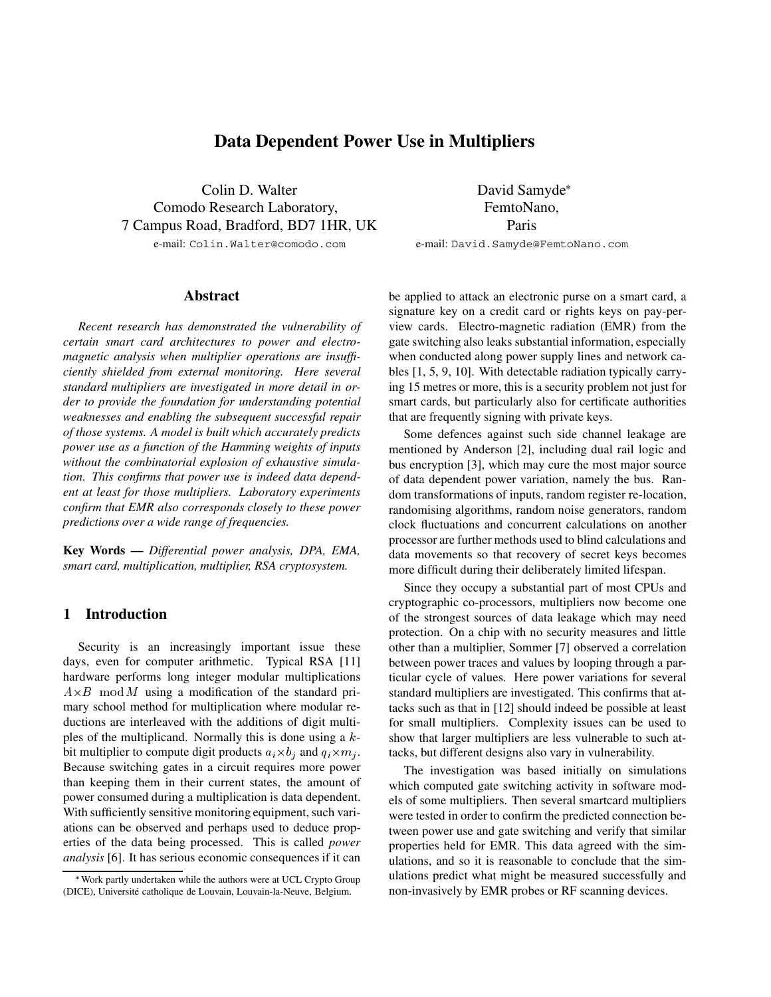# **Data Dependent Power Use in Multipliers**

Colin D. Walter Comodo Research Laboratory, 7 Campus Road, Bradford, BD7 1HR, UK e-mail: Colin.Walter@comodo.com

#### **Abstract**

*Recent research has demonstrated the vulnerability of certain smart card architectures to power and electromagnetic analysis when multiplier operations are insufficiently shielded from external monitoring. Here several standard multipliers are investigated in more detail in order to provide the foundation for understanding potential weaknesses and enabling the subsequent successful repair of those systems. A model is built which accurately predicts power use as a function of the Hamming weights of inputs without the combinatorial explosion of exhaustive simulation. This confirms that power use is indeed data dependent at least for those multipliers. Laboratory experiments confirm that EMR also corresponds closely to these power predictions over a wide range of frequencies.*

**Key Words —** *Differential power analysis, DPA, EMA, smart card, multiplication, multiplier, RSA cryptosystem.*

### **1 Introduction**

Security is an increasingly important issue these days, even for computer arithmetic. Typical RSA [11] hardware performs long integer modular multiplications  $A \times B$  mod M using a modification of the standard primary school method for multiplication where modular reductions are interleaved with the additions of digit multiples of the multiplicand. Normally this is done using a  $k$ bit multiplier to compute digit products  $a_i \times b_j$  and  $q_i \times m_j$ . Because switching gates in a circuit requires more power than keeping them in their current states, the amount of power consumed during a multiplication is data dependent. With sufficiently sensitive monitoring equipment, such variations can be observed and perhaps used to deduce properties of the data being processed. This is called *power analysis* [6]. It has serious economic consequences if it can

David Samyde FemtoNano, Paris e-mail: David.Samyde@FemtoNano.com

be applied to attack an electronic purse on a smart card, a signature key on a credit card or rights keys on pay-perview cards. Electro-magnetic radiation (EMR) from the gate switching also leaks substantial information, especially when conducted along power supply lines and network cables [1, 5, 9, 10]. With detectable radiation typically carrying 15 metres or more, this is a security problem not just for smart cards, but particularly also for certificate authorities that are frequently signing with private keys.

Some defences against such side channel leakage are mentioned by Anderson [2], including dual rail logic and bus encryption [3], which may cure the most major source of data dependent power variation, namely the bus. Random transformations of inputs, random register re-location, randomising algorithms, random noise generators, random clock fluctuations and concurrent calculations on another processor are further methods used to blind calculations and data movements so that recovery of secret keys becomes more difficult during their deliberately limited lifespan.

Since they occupy a substantial part of most CPUs and cryptographic co-processors, multipliers now become one of the strongest sources of data leakage which may need protection. On a chip with no security measures and little other than a multiplier, Sommer [7] observed a correlation between power traces and values by looping through a particular cycle of values. Here power variations for several standard multipliers are investigated. This confirms that attacks such as that in [12] should indeed be possible at least for small multipliers. Complexity issues can be used to show that larger multipliers are less vulnerable to such attacks, but different designs also vary in vulnerability.

The investigation was based initially on simulations which computed gate switching activity in software models of some multipliers. Then several smartcard multipliers were tested in order to confirm the predicted connection between power use and gate switching and verify that similar properties held for EMR. This data agreed with the simulations, and so it is reasonable to conclude that the simulations predict what might be measured successfully and non-invasively by EMR probes or RF scanning devices.

Work partly undertaken while the authors were at UCL Crypto Group (DICE), Université catholique de Louvain, Louvain-la-Neuve, Belgium.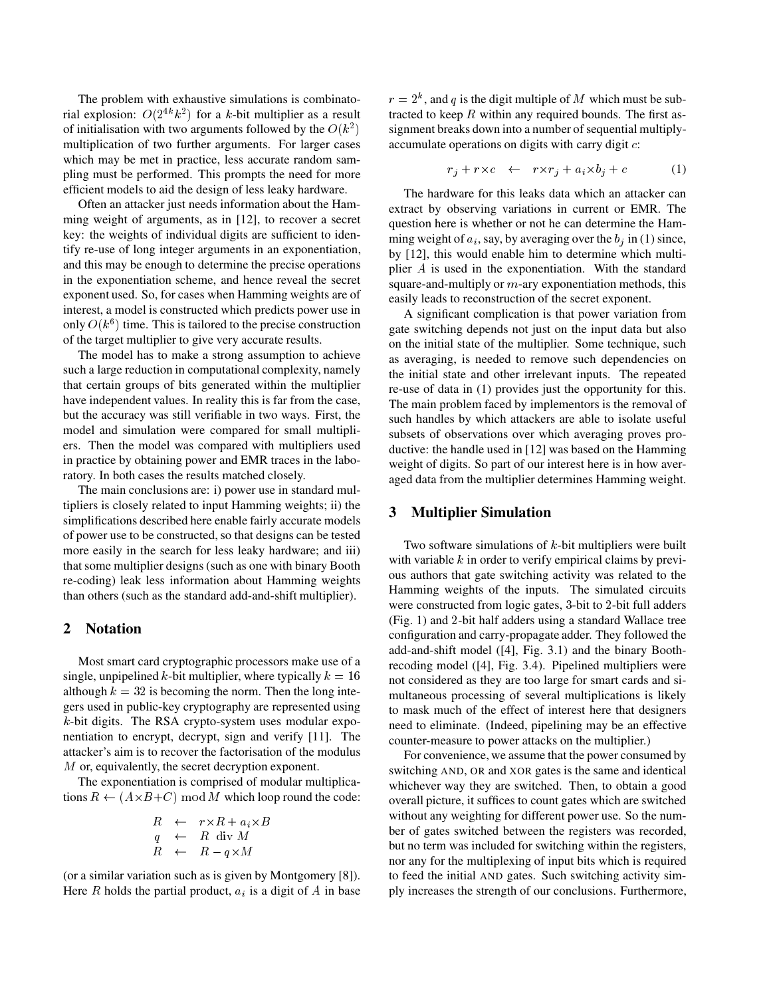The problem with exhaustive simulations is combinatorial explosion:  $O(2^{4k}k^2)$  for a k-bit multiplier as a result of initialisation with two arguments followed by the  $O(k^2)$ multiplication of two further arguments. For larger cases which may be met in practice, less accurate random sampling must be performed. This prompts the need for more efficient models to aid the design of less leaky hardware.

Often an attacker just needs information about the Hamming weight of arguments, as in [12], to recover a secret key: the weights of individual digits are sufficient to identify re-use of long integer arguments in an exponentiation, and this may be enough to determine the precise operations in the exponentiation scheme, and hence reveal the secret exponent used. So, for cases when Hamming weights are of interest, a model is constructed which predicts power use in only  $O(k^6)$  time. This is tailored to the precise construction of the target multiplier to give very accurate results.

The model has to make a strong assumption to achieve such a large reduction in computational complexity, namely that certain groups of bits generated within the multiplier have independent values. In reality this is far from the case, but the accuracy was still verifiable in two ways. First, the model and simulation were compared for small multipliers. Then the model was compared with multipliers used in practice by obtaining power and EMR traces in the laboratory. In both cases the results matched closely.

The main conclusions are: i) power use in standard multipliers is closely related to input Hamming weights; ii) the simplifications described here enable fairly accurate models of power use to be constructed, so that designs can be tested more easily in the search for less leaky hardware; and iii) that some multiplier designs (such as one with binary Booth re-coding) leak less information about Hamming weights than others (such as the standard add-and-shift multiplier).

#### **2 Notation**

Most smart card cryptographic processors make use of a single, unpipelined k-bit multiplier, where typically  $k = 16$ although  $k = 32$  is becoming the norm. Then the long integers used in public-key cryptography are represented using  $k$ -bit digits. The RSA crypto-system uses modular exponentiation to encrypt, decrypt, sign and verify [11]. The attacker's aim is to recover the factorisation of the modulus M or, equivalently, the secret decryption exponent.

The exponentiation is comprised of modular multiplications  $R \leftarrow (A \times B + C) \mod M$  which loop round the code:

$$
R \leftarrow r \times R + a_i \times B
$$
  
\n
$$
q \leftarrow R \text{ div } M
$$
  
\n
$$
R \leftarrow R - q \times M
$$

(or a similar variation such as is given by Montgomery [8]). Here  $R$  holds the partial product,  $a_i$  is a digit of  $A$  in base

 signment breaks down into a number of sequential multiply $r = 2<sup>k</sup>$ , and q is the digit multiple of M which must be subtracted to keep  $R$  within any required bounds. The first asaccumulate operations on digits with carry digit  $c$ :

$$
r_j + r \times c \quad \leftarrow \quad r \times r_j + a_i \times b_j + c \tag{1}
$$

The hardware for this leaks data which an attacker can extract by observing variations in current or EMR. The question here is whether or not he can determine the Hamming weight of  $a_i$ , say, by averaging over the  $b_i$  in (1) since, by [12], this would enable him to determine which multiplier  $A$  is used in the exponentiation. With the standard square-and-multiply or  $m$ -ary exponentiation methods, this easily leads to reconstruction of the secret exponent.

A significant complication is that power variation from gate switching depends not just on the input data but also on the initial state of the multiplier. Some technique, such as averaging, is needed to remove such dependencies on the initial state and other irrelevant inputs. The repeated re-use of data in (1) provides just the opportunity for this. The main problem faced by implementors is the removal of such handles by which attackers are able to isolate useful subsets of observations over which averaging proves productive: the handle used in [12] was based on the Hamming weight of digits. So part of our interest here is in how averaged data from the multiplier determines Hamming weight.

#### **3 Multiplier Simulation**

Two software simulations of  $k$ -bit multipliers were built with variable  $k$  in order to verify empirical claims by previous authors that gate switching activity was related to the Hamming weights of the inputs. The simulated circuits were constructed from logic gates, 3-bit to 2-bit full adders  $(Fig. 1)$  and 2-bit half adders using a standard Wallace tree configuration and carry-propagate adder. They followed the add-and-shift model ([4], Fig. 3.1) and the binary Boothrecoding model ([4], Fig. 3.4). Pipelined multipliers were not considered as they are too large for smart cards and simultaneous processing of several multiplications is likely to mask much of the effect of interest here that designers need to eliminate. (Indeed, pipelining may be an effective counter-measure to power attacks on the multiplier.)

For convenience, we assume that the power consumed by switching AND, OR and XOR gates is the same and identical whichever way they are switched. Then, to obtain a good overall picture, it suffices to count gates which are switched without any weighting for different power use. So the number of gates switched between the registers was recorded, but no term was included for switching within the registers, nor any for the multiplexing of input bits which is required to feed the initial AND gates. Such switching activity simply increases the strength of our conclusions. Furthermore,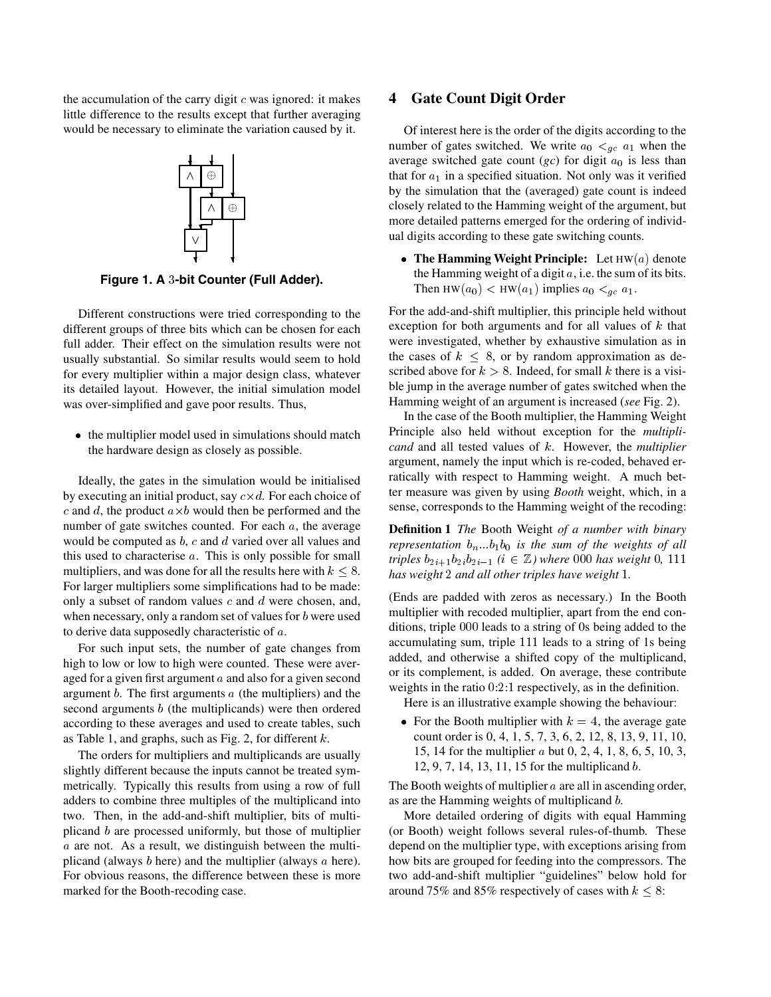the accumulation of the carry digit  $c$  was ignored: it makes little difference to the results except that further averaging would be necessary to eliminate the variation caused by it.



Figure 1. A 3-bit Counter (Full Adder).

Different constructions were tried corresponding to the different groups of three bits which can be chosen for each full adder. Their effect on the simulation results were not usually substantial. So similar results would seem to hold for every multiplier within a major design class, whatever its detailed layout. However, the initial simulation model was over-simplified and gave poor results. Thus,

• the multiplier model used in simulations should match the hardware design as closely as possible.

Ideally, the gates in the simulation would be initialised by executing an initial product, say  $c \times d$ . For each choice of c and d, the product  $a \times b$  would then be performed and the number of gate switches counted. For each  $a$ , the average would be computed as  $b$ ,  $c$  and  $d$  varied over all values and this used to characterise  $a$ . This is only possible for small multipliers, and was done for all the results here with  $k \leq 8$ . For larger multipliers some simplifications had to be made: only a subset of random values  $c$  and  $d$  were chosen, and, when necessary, only a random set of values for  $b$  were used to derive data supposedly characteristic of  $a$ .

For such input sets, the number of gate changes from high to low or low to high were counted. These were averaged for a given first argument  $a$  and also for a given second argument  $b$ . The first arguments  $a$  (the multipliers) and the second arguments  $b$  (the multiplicands) were then ordered according to these averages and used to create tables, such as Table 1, and graphs, such as Fig. 2, for different  $k$ .

The orders for multipliers and multiplicands are usually slightly different because the inputs cannot be treated symmetrically. Typically this results from using a row of full adders to combine three multiples of the multiplicand into two. Then, in the add-and-shift multiplier, bits of multiplicand  $b$  are processed uniformly, but those of multiplier  $a$  are not. As a result, we distinguish between the multiplicand (always  $b$  here) and the multiplier (always  $a$  here). For obvious reasons, the difference between these is more marked for the Booth-recoding case.

#### **4 Gate Count Digit Order**

Of interest here is the order of the digits according to the number of gates switched. We write  $a_0 <_{qc} a_1$  when the average switched gate count  $gc$  for digit  $a_0$  is less than that for  $a_1$  in a specified situation. Not only was it verified by the simulation that the (averaged) gate count is indeed closely related to the Hamming weight of the argument, but more detailed patterns emerged for the ordering of individual digits according to these gate switching counts.

• The Hamming Weight Principle: Let  $HW(a)$  denote the Hamming weight of a digit  $a$ , i.e. the sum of its bits. Then HW( $a_0$ ) < HW( $a_1$ ) implies  $a_0 <_{gc} a_1$ .

For the add-and-shift multiplier, this principle held without exception for both arguments and for all values of  $k$  that were investigated, whether by exhaustive simulation as in the cases of  $k \leq 8$ , or by random approximation as described above for  $k > 8$ . Indeed, for small k there is a visible jump in the average number of gates switched when the Hamming weight of an argument is increased (*see* Fig. 2).

In the case of the Booth multiplier, the Hamming Weight Principle also held without exception for the *multiplicand* and all tested values of  $k$ . However, the *multiplier* argument, namely the input which is re-coded, behaved erratically with respect to Hamming weight. A much better measure was given by using *Booth* weight, which, in a sense, corresponds to the Hamming weight of the recoding:

**Definition 1** *The* Booth Weight *of a number with binary representation*  $b_n...b_1b_0$  *is the sum of the weights of all triples*  $b_{2i+1}b_{2i}b_{2i-1}$  ( $i \in \mathbb{Z}$ ) where 000 has weight 0, 111 *has weight and all other triples have weight .*

(Ends are padded with zeros as necessary.) In the Booth multiplier with recoded multiplier, apart from the end conditions, triple 000 leads to a string of 0s being added to the accumulating sum, triple 111 leads to a string of 1s being added, and otherwise a shifted copy of the multiplicand, or its complement, is added. On average, these contribute weights in the ratio  $0.2.1$  respectively, as in the definition.

Here is an illustrative example showing the behaviour:

• For the Booth multiplier with  $k = 4$ , the average gate count order is 0, 4, 1, 5, 7, 3, 6, 2, 12, 8, 13, 9, 11, 10, 15, 14 for the multiplier  $a$  but 0, 2, 4, 1, 8, 6, 5, 10, 3, 12, 9, 7, 14, 13, 11, 15 for the multiplicand  $b$ .

The Booth weights of multiplier  $a$  are all in ascending order, as are the Hamming weights of multiplicand *.* 

More detailed ordering of digits with equal Hamming (or Booth) weight follows several rules-of-thumb. These depend on the multiplier type, with exceptions arising from how bits are grouped for feeding into the compressors. The two add-and-shift multiplier "guidelines" below hold for around 75% and 85% respectively of cases with  $k \leq 8$ :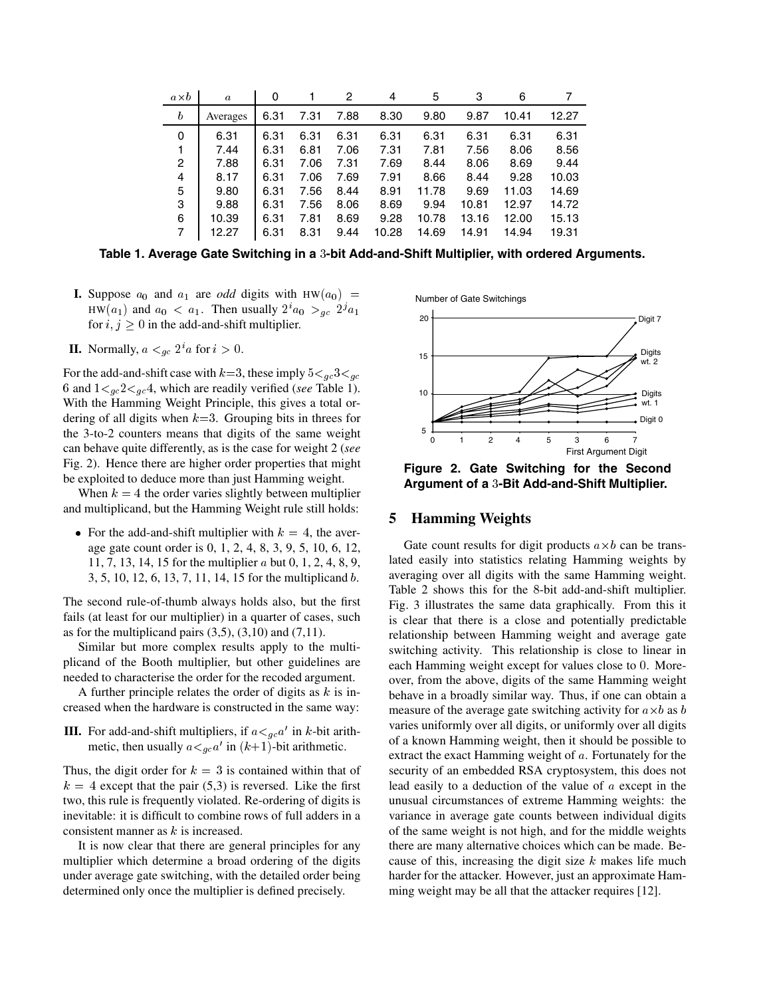| $a\times b$      | $\boldsymbol{a}$ | 0    |      | 2    | 4     | 5     | 3     | 6     |       |
|------------------|------------------|------|------|------|-------|-------|-------|-------|-------|
| $\boldsymbol{b}$ | Averages         | 6.31 | 7.31 | 7.88 | 8.30  | 9.80  | 9.87  | 10.41 | 12.27 |
| 0                | 6.31             | 6.31 | 6.31 | 6.31 | 6.31  | 6.31  | 6.31  | 6.31  | 6.31  |
|                  | 7.44             | 6.31 | 6.81 | 7.06 | 7.31  | 7.81  | 7.56  | 8.06  | 8.56  |
| 2                | 7.88             | 6.31 | 7.06 | 7.31 | 7.69  | 8.44  | 8.06  | 8.69  | 9.44  |
| 4                | 8.17             | 6.31 | 7.06 | 7.69 | 7.91  | 8.66  | 8.44  | 9.28  | 10.03 |
| 5                | 9.80             | 6.31 | 7.56 | 8.44 | 8.91  | 11.78 | 9.69  | 11.03 | 14.69 |
| 3                | 9.88             | 6.31 | 7.56 | 8.06 | 8.69  | 9.94  | 10.81 | 12.97 | 14.72 |
| 6                | 10.39            | 6.31 | 7.81 | 8.69 | 9.28  | 10.78 | 13.16 | 12.00 | 15.13 |
| 7                | 12.27            | 6.31 | 8.31 | 9.44 | 10.28 | 14.69 | 14.91 | 14.94 | 19.31 |

Table 1. Average Gate Switching in a 3-bit Add-and-Shift Multiplier, with ordered Arguments.

- **I.** Suppose  $a_0$  and  $a_1$  are *odd* digits with HW( $a_0$ ) =  $HW(a_1)$  and  $a_0 < a_1$ . Then usually  $2^i a_0 >_{gc} 2^j a_1$ for  $i, j \geq 0$  in the add-and-shift multiplier.
- **II.** Normally,  $a \lt_{gc} 2^i a$  for  $i > 0$ .

For the add-and-shift case with  $k=3$ , these imply  $5 \lt_{gc} 3 \lt_{gc}$ 6 and  $1 \lt_{qc} 2 \lt_{qc} 4$ , which are readily verified (*see* Table 1). With the Hamming Weight Principle, this gives a total ordering of all digits when  $k=3$ . Grouping bits in threes for the 3-to-2 counters means that digits of the same weight can behave quite differently, as is the case for weight 2 (*see* Fig. 2). Hence there are higher order properties that might be exploited to deduce more than just Hamming weight.

When  $k = 4$  the order varies slightly between multiplier and multiplicand, but the Hamming Weight rule still holds:

• For the add-and-shift multiplier with  $k = 4$ , the average gate count order is 0, 1, 2, 4, 8, 3, 9, 5, 10, 6, 12, 11, 7, 13, 14, 15 for the multiplier  $a$  but 0, 1, 2, 4, 8, 9, 3, 5, 10, 12, 6, 13, 7, 11, 14, 15 for the multiplicand *b*.

The second rule-of-thumb always holds also, but the first fails (at least for our multiplier) in a quarter of cases, such as for the multiplicand pairs  $(3,5)$ ,  $(3,10)$  and  $(7,11)$ .

Similar but more complex results apply to the multiplicand of the Booth multiplier, but other guidelines are needed to characterise the order for the recoded argument.

A further principle relates the order of digits as  $k$  is increased when the hardware is constructed in the same way:

**III.** For add-and-shift multipliers, if  $a \lt_{gc} a'$  in k-bit arithmetic, then usually  $a \lt_{gc} a'$  in  $(k+1)$ -bit arithmetic.

Thus, the digit order for  $k = 3$  is contained within that of  $k = 4$  except that the pair (5,3) is reversed. Like the first two, this rule is frequently violated. Re-ordering of digits is inevitable: it is difficult to combine rows of full adders in a consistent manner as  $k$  is increased.

It is now clear that there are general principles for any multiplier which determine a broad ordering of the digits under average gate switching, with the detailed order being determined only once the multiplier is defined precisely.





**Figure 2. Gate Switching for the Second** Argument of a 3-Bit Add-and-Shift Multiplier.

### **5 Hamming Weights**

Gate count results for digit products  $a \times b$  can be translated easily into statistics relating Hamming weights by averaging over all digits with the same Hamming weight. Table 2 shows this for the 8-bit add-and-shift multiplier. Fig. 3 illustrates the same data graphically. From this it is clear that there is a close and potentially predictable relationship between Hamming weight and average gate switching activity. This relationship is close to linear in each Hamming weight except for values close to 0. Moreover, from the above, digits of the same Hamming weight behave in a broadly similar way. Thus, if one can obtain a measure of the average gate switching activity for  $a \times b$  as b varies uniformly over all digits, or uniformly over all digits of a known Hamming weight, then it should be possible to extract the exact Hamming weight of  $a$ . Fortunately for the security of an embedded RSA cryptosystem, this does not lead easily to a deduction of the value of  $a$  except in the unusual circumstances of extreme Hamming weights: the variance in average gate counts between individual digits of the same weight is not high, and for the middle weights there are many alternative choices which can be made. Because of this, increasing the digit size  $k$  makes life much harder for the attacker. However, just an approximate Hamming weight may be all that the attacker requires [12].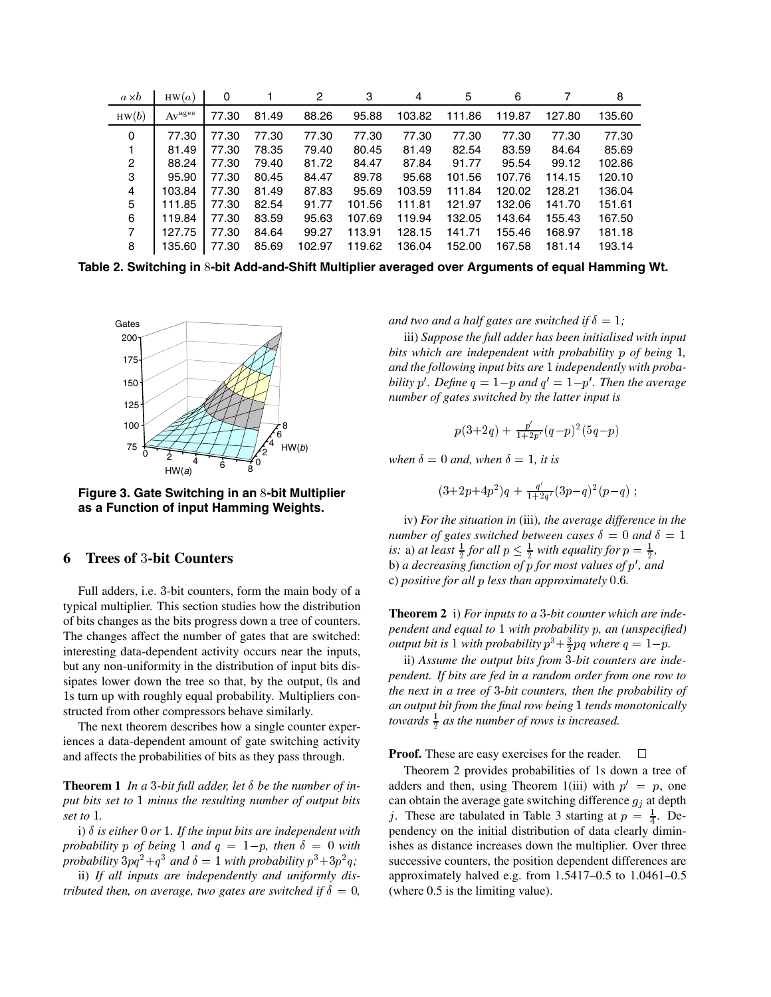| $a\times b$    | HW(a)              | 0     |       | 2      | 3      | 4      | 5      | 6      |        | 8      |
|----------------|--------------------|-------|-------|--------|--------|--------|--------|--------|--------|--------|
| HW(b)          | Av <sup>ages</sup> | 77.30 | 81.49 | 88.26  | 95.88  | 103.82 | 111.86 | 119.87 | 127.80 | 135.60 |
| 0              | 77.30              | 77.30 | 77.30 | 77.30  | 77.30  | 77.30  | 77.30  | 77.30  | 77.30  | 77.30  |
|                | 81.49              | 77.30 | 78.35 | 79.40  | 80.45  | 81.49  | 82.54  | 83.59  | 84.64  | 85.69  |
| $\overline{c}$ | 88.24              | 77.30 | 79.40 | 81.72  | 84.47  | 87.84  | 91.77  | 95.54  | 99.12  | 102.86 |
| 3              | 95.90              | 77.30 | 80.45 | 84.47  | 89.78  | 95.68  | 101.56 | 107.76 | 114.15 | 120.10 |
| 4              | 103.84             | 77.30 | 81.49 | 87.83  | 95.69  | 103.59 | 111.84 | 120.02 | 128.21 | 136.04 |
| 5              | 111.85             | 77.30 | 82.54 | 91.77  | 101.56 | 111.81 | 121.97 | 132.06 | 141.70 | 151.61 |
| 6              | 119.84             | 77.30 | 83.59 | 95.63  | 107.69 | 119.94 | 132.05 | 143.64 | 155.43 | 167.50 |
| $\overline{7}$ | 127.75             | 77.30 | 84.64 | 99.27  | 113.91 | 128.15 | 141.71 | 155.46 | 168.97 | 181.18 |
| 8              | 135.60             | 77.30 | 85.69 | 102.97 | 119.62 | 136.04 | 152.00 | 167.58 | 181.14 | 193.14 |

**Table 2. Switching in -bit Add-and-Shift Multiplier averaged over Arguments of equal Hamming Wt.**



**Figure 3. Gate Switching in an 8-bit Multiplier as a Function of input Hamming Weights.**

#### **6 Trees of -bit Counters**

Full adders, i.e. 3-bit counters, form the main body of a typical multiplier. This section studies how the distribution of bits changes as the bits progress down a tree of counters. The changes affect the number of gates that are switched: interesting data-dependent activity occurs near the inputs, but any non-uniformity in the distribution of input bits dissipates lower down the tree so that, by the output, 0s and s turn up with roughly equal probability. Multipliers constructed from other compressors behave similarly.

The next theorem describes how a single counter experiences a data-dependent amount of gate switching activity and affects the probabilities of bits as they pass through.

**Theorem 1** In a 3-bit full adder, let  $\delta$  be the number of in*put bits set to minus the resulting number of output bits set to .*

i)  $\delta$  *is either* 0 *or* 1. If the input bits are independent with *probability*  $p$  *of being*  $1$  *and*  $q = 1-p$ *, then*  $\delta = 0$  *with* is probability  $3pq^2+q^3$  and  $\delta = 1$  with probability  $p^3+3p^2q$ ;

ii) *If all inputs are independently and uniformly distributed then, on average, two gates are switched if*  $\delta = 0$ *,*  *and two and a half gates are switched if*  $\delta = 1$ ;

iii) *Suppose the full adder has been initialised with input bits which are independent with probability p of being* 1, *and the following input bits are independently with probability* p'. Define  $q = 1-p$  and  $q' = 1-p'$ . Then the average *number of gates switched by the latter input is*

$$
p(3+2q) + \frac{p'}{1+2p'}(q-p)^2(5q-p)
$$

*when*  $\delta = 0$  *and, when*  $\delta = 1$ *, it is* 

$$
(3+2p+4p^2)q + \frac{q'}{1+2q'}(3p-q)^2(p-q) ;
$$

iv) *For the situation in* (iii)*, the average difference in the number of gates switched between cases*  $\delta = 0$  *and*  $\delta = 1$ *is:* a) *at least*  $\frac{1}{2}$  *for all*  $p \leq \frac{1}{2}$  *with equality for*  $p = \frac{1}{2}$ *,* b) *a decreasing function of p for most values of p'*, and c) *positive for all less than approximately .*

**Theorem 2** i) For inputs to a 3-bit counter which are inde*pendent and equal to* 1 with probability *p*, an (unspecified) *output bit is* 1 *with probability*  $p^3 + \frac{3}{2}pq$  *where*  $q = 1-p$ .

ii) Assume the output bits from 3-bit counters are inde*pendent. If bits are fed in a random order from one row to the next in a tree of -bit counters, then the probability of an output bit from the final row being tends monotonically towards*  $\frac{1}{2}$  *as the number of rows is increased.* 

**Proof.** These are easy exercises for the reader.  $\Box$ 

Theorem 2 provides probabilities of 1s down a tree of adders and then, using Theorem 1(iii) with  $p' = p$ , one can obtain the average gate switching difference  $g_j$  at depth j. These are tabulated in Table 3 starting at  $p = \frac{1}{4}$ . De pendency on the initial distribution of data clearly diminishes as distance increases down the multiplier. Over three successive counters, the position dependent differences are approximately halved e.g. from 1.5417–0.5 to 1.0461–0.5 (where 0.5 is the limiting value).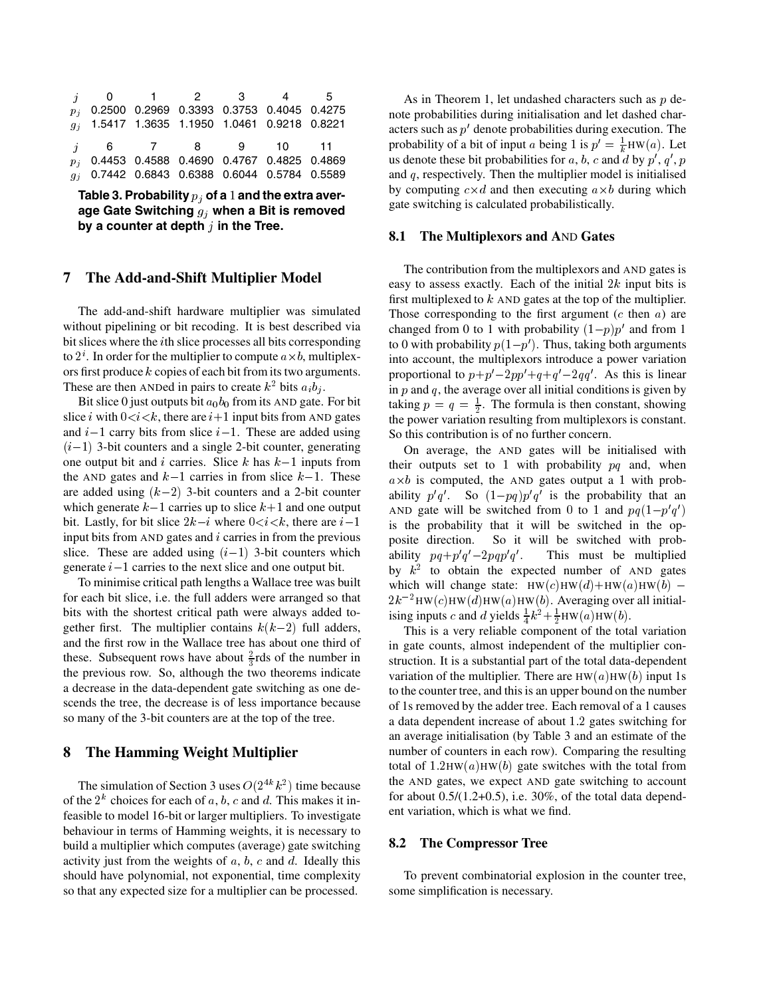|  | <i>i</i> 0 1 2 3 4 5                            |  |  |
|--|-------------------------------------------------|--|--|
|  | $p_j$ 0.2500 0.2969 0.3393 0.3753 0.4045 0.4275 |  |  |
|  | $g_i$ 1.5417 1.3635 1.1950 1.0461 0.9218 0.8221 |  |  |
|  |                                                 |  |  |
|  | <i>i</i> 6 7 8 9 10 11                          |  |  |
|  | $p_j$ 0.4453 0.4588 0.4690 0.4767 0.4825 0.4869 |  |  |

Table 3. Probability  $p_i$  of a 1 and the extra aver**age Gate Switching when a Bit is removed by a counter at depth in the Tree.**

#### **7 The Add-and-Shift Multiplier Model**

The add-and-shift hardware multiplier was simulated without pipelining or bit recoding. It is best described via bit slices where the *i*th slice processes all bits corresponding to  $2^i$ . In order for the multiplier to compute  $a \times b$ , multiplexors first produce  $k$  copies of each bit from its two arguments. These are then ANDed in pairs to create  $k^2$  bits  $a_i b_j$ .

Bit slice 0 just outputs bit  $a_0b_0$  from its AND gate. For bit slice *i* with  $0 < i < k$ , there are  $i+1$  input bits from AND gates and  $i-1$  carry bits from slice  $i-1$ . These are added using  $(i-1)$  3-bit counters and a single 2-bit counter, generating one output bit and *i* carries. Slice  $k$  has  $k-1$  inputs from the AND gates and  $k-1$  carries in from slice  $k-1$ . These are added using  $(k-2)$  3-bit counters and a 2-bit counter which generate  $k-1$  carries up to slice  $k+1$  and one output bit. Lastly, for bit slice  $2k-i$  where  $0 < i < k$ , there are  $i$ input bits from AND gates and  $i$  carries in from the previous slice. These are added using  $(i-1)$  3-bit counters which generate  $i-1$  carries to the next slice and one output bit.

To minimise critical path lengths a Wallace tree was built for each bit slice, i.e. the full adders were arranged so that bits with the shortest critical path were always added together first. The multiplier contains  $k(k-2)$  full adders, and the first row in the Wallace tree has about one third of these. Subsequent rows have about  $\frac{2}{3}$ rds of the number in the previous row. So, although the two theorems indicate a decrease in the data-dependent gate switching as one descends the tree, the decrease is of less importance because so many of the 3-bit counters are at the top of the tree.

### **8 The Hamming Weight Multiplier**

The simulation of Section 3 uses  $O(2^{4k} k^2)$  time because of the  $2^k$  choices for each of a, b, c and d. This makes it infeasible to model 16-bit or larger multipliers. To investigate behaviour in terms of Hamming weights, it is necessary to build a multiplier which computes (average) gate switching activity just from the weights of  $a, b, c$  and  $d$ . Ideally this should have polynomial, not exponential, time complexity so that any expected size for a multiplier can be processed.

As in Theorem 1, let undashed characters such as  $p$  denote probabilities during initialisation and let dashed characters such as  $p'$  denote probabilities during execution. The probability of a bit of input a being 1 is  $p' = \frac{1}{k}HW(a)$ . Let us denote these bit probabilities for a, b, c and d by  $p'$ ,  $q'$ ,  $p$ and  $q$ , respectively. Then the multiplier model is initialised by computing  $c \times d$  and then executing  $a \times b$  during which gate switching is calculated probabilistically.

#### **8.1 The Multiplexors and A**ND **Gates**

The contribution from the multiplexors and AND gates is easy to assess exactly. Each of the initial  $2k$  input bits is first multiplexed to  $k$  AND gates at the top of the multiplier. Those corresponding to the first argument  $(c \text{ then } a)$  are changed from 0 to 1 with probability  $(1-p)p'$  and from 1 to 0 with probability  $p(1-p')$ . Thus, taking both arguments into account, the multiplexors introduce a power variation proportional to  $p+p'-2pp'+q+q'-2qq'$ . As this is linear in  $p$  and  $q$ , the average over all initial conditions is given by taking  $p = q = \frac{1}{2}$ . The formula is then constant, showing the power variation resulting from multiplexors is constant. So this contribution is of no further concern.

<sup>1</sup> is the probability that it will be switched in the op-On average, the AND gates will be initialised with their outputs set to 1 with probability  $pq$  and, when  $a \times b$  is computed, the AND gates output a 1 with probability  $p'q'$ . So  $(1-pq)p'q'$  is the probability that an AND gate will be switched from 0 to 1 and  $pq(1-p'q')$ posite direction. So it will be switched with probability  $pq+p'q'-2pqp'q'$ . Tl . This must be multiplied by  $k^2$  to obtain the expected number of AND gates which will change state:  $HW(c)HW(d) + HW(a)HW(b)$  - $2k^{-2}$ HW $(c)$ HW $(d)$ HW $(a)$ HW $(b)$ . Averaging over all initialising inputs c and d yields  $\frac{1}{4}k^2 + \frac{1}{2}HW(a)HW(b)$ .

This is a very reliable component of the total variation in gate counts, almost independent of the multiplier construction. It is a substantial part of the total data-dependent variation of the multiplier. There are  $HW(a)HW(b)$  input 1s to the counter tree, and this is an upper bound on the number of 1s removed by the adder tree. Each removal of a 1 causes a data dependent increase of about 1.2 gates switching for an average initialisation (by Table 3 and an estimate of the number of counters in each row). Comparing the resulting total of  $1.2HW(a)HW(b)$  gate switches with the total from the AND gates, we expect AND gate switching to account for about  $0.5/(1.2+0.5)$ , i.e. 30%, of the total data dependent variation, which is what we find.

#### **8.2 The Compressor Tree**

To prevent combinatorial explosion in the counter tree, some simplification is necessary.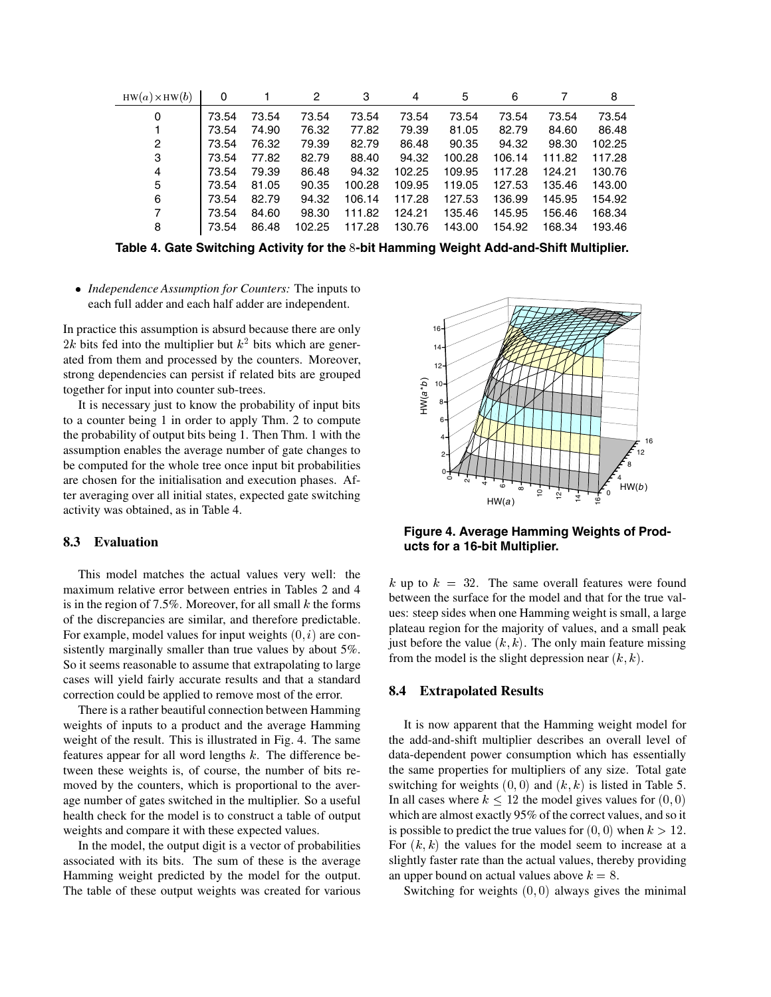| $HW(a) \times HW(b)$ | 0     |       | 2      | 3      | 4      | 5      | 6      |        | 8      |
|----------------------|-------|-------|--------|--------|--------|--------|--------|--------|--------|
| 0                    | 73.54 | 73.54 | 73.54  | 73.54  | 73.54  | 73.54  | 73.54  | 73.54  | 73.54  |
|                      | 73.54 | 74.90 | 76.32  | 77.82  | 79.39  | 81.05  | 82.79  | 84.60  | 86.48  |
| 2                    | 73.54 | 76.32 | 79.39  | 82.79  | 86.48  | 90.35  | 94.32  | 98.30  | 102.25 |
| 3                    | 73.54 | 77.82 | 82.79  | 88.40  | 94.32  | 100.28 | 106.14 | 111.82 | 117.28 |
| 4                    | 73.54 | 79.39 | 86.48  | 94.32  | 102.25 | 109.95 | 117.28 | 124.21 | 130.76 |
| 5                    | 73.54 | 81.05 | 90.35  | 100.28 | 109.95 | 119.05 | 127.53 | 135.46 | 143.00 |
| 6                    | 73.54 | 82.79 | 94.32  | 106.14 | 117.28 | 127.53 | 136.99 | 145.95 | 154.92 |
| $\overline{7}$       | 73.54 | 84.60 | 98.30  | 111.82 | 124.21 | 135.46 | 145.95 | 156.46 | 168.34 |
| 8                    | 73.54 | 86.48 | 102.25 | 117.28 | 130.76 | 143.00 | 154.92 | 168.34 | 193.46 |

**Table 4. Gate Switching Activity for the -bit Hamming Weight Add-and-Shift Multiplier.**

 *Independence Assumption for Counters:* The inputs to each full adder and each half adder are independent.

In practice this assumption is absurd because there are only 2k bits fed into the multiplier but  $k^2$  bits which are generated from them and processed by the counters. Moreover, strong dependencies can persist if related bits are grouped together for input into counter sub-trees.

It is necessary just to know the probability of input bits to a counter being 1 in order to apply Thm. 2 to compute the probability of output bits being 1. Then Thm. 1 with the assumption enables the average number of gate changes to be computed for the whole tree once input bit probabilities are chosen for the initialisation and execution phases. After averaging over all initial states, expected gate switching activity was obtained, as in Table 4.

## **8.3 Evaluation**

This model matches the actual values very well: the maximum relative error between entries in Tables 2 and 4 is in the region of 7.5%. Moreover, for all small  $k$  the forms of the discrepancies are similar, and therefore predictable. For example, model values for input weights  $(0, i)$  are consistently marginally smaller than true values by about 5%. So it seems reasonable to assume that extrapolating to large cases will yield fairly accurate results and that a standard correction could be applied to remove most of the error.

There is a rather beautiful connection between Hamming weights of inputs to a product and the average Hamming weight of the result. This is illustrated in Fig. 4. The same features appear for all word lengths  $k$ . The difference between these weights is, of course, the number of bits removed by the counters, which is proportional to the average number of gates switched in the multiplier. So a useful health check for the model is to construct a table of output weights and compare it with these expected values.

In the model, the output digit is a vector of probabilities associated with its bits. The sum of these is the average Hamming weight predicted by the model for the output. The table of these output weights was created for various



**Figure 4. Average Hamming Weights of Products for a 16-bit Multiplier.**

k up to  $k = 32$ . The same overall features were found between the surface for the model and that for the true values: steep sides when one Hamming weight is small, a large plateau region for the majority of values, and a small peak just before the value  $(k, k)$ . The only main feature missing from the model is the slight depression near  $(k, k)$ .

### **8.4 Extrapolated Results**

It is now apparent that the Hamming weight model for the add-and-shift multiplier describes an overall level of data-dependent power consumption which has essentially the same properties for multipliers of any size. Total gate switching for weights  $(0, 0)$  and  $(k, k)$  is listed in Table 5. In all cases where  $k \le 12$  the model gives values for  $(0, 0)$ which are almost exactly 95% of the correct values, and so it is possible to predict the true values for  $(0,0)$  when  $k > 12$ . For  $(k, k)$  the values for the model seem to increase at a slightly faster rate than the actual values, thereby providing an upper bound on actual values above  $k = 8$ .

Switching for weights  $(0, 0)$  always gives the minimal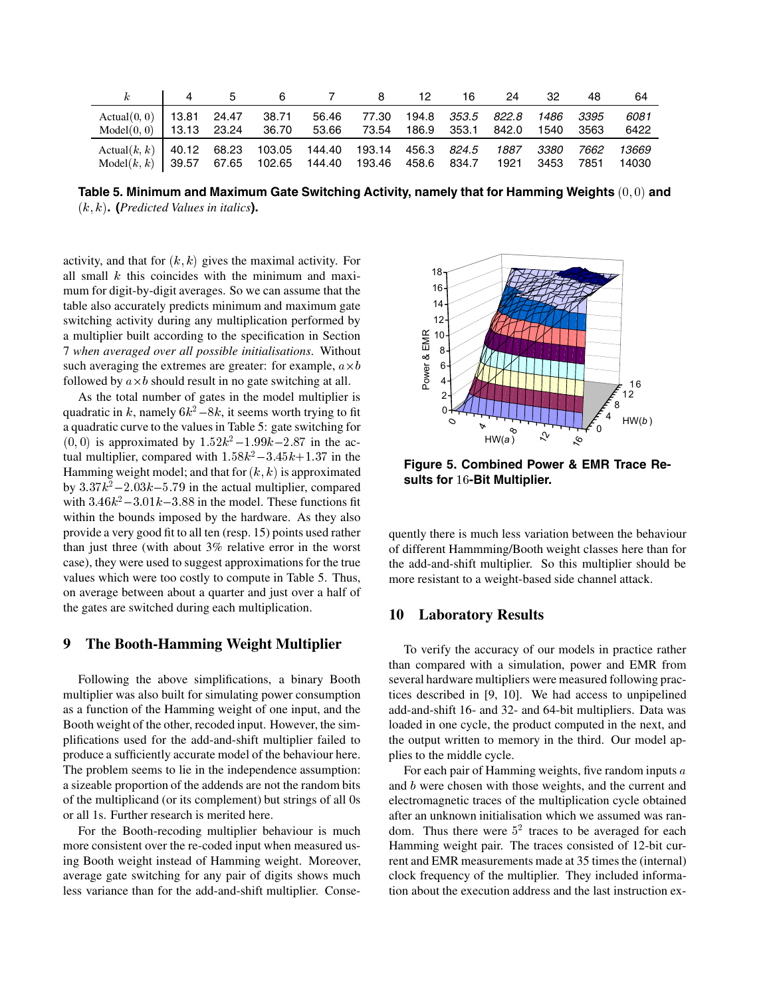|                                                                       |  |  |                                         | 12. | 16 24 32 | 48   | 64          |
|-----------------------------------------------------------------------|--|--|-----------------------------------------|-----|----------|------|-------------|
| Actual $(0, 0)$ 13.81 24.47 38.71                                     |  |  | 56.46 77.30 194.8 353.5 822.8 1486 3395 |     |          |      | 6081        |
| $Model(0, 0)$ 13.13 23.24 36.70 53.66 73.54 186.9 353.1 842.0 1540    |  |  |                                         |     |          | 3563 | 6422        |
| Actual(k, k)   40.12 68.23 103.05 144.40 193.14 456.3 824.5 1887 3380 |  |  |                                         |     |          |      | 7662  13669 |
| Model(k, k)   39.57 67.65 102.65 144.40 193.46 458.6 834.7 1921 3453  |  |  |                                         |     |          | 7851 | 14030       |

Table 5. Minimum and Maximum Gate Switching Activity, namely that for Hamming Weights  $(0,0)$  and **. (***Predicted Values in italics***).**

activity, and that for  $(k, k)$  gives the maximal activity. For all small  $k$  this coincides with the minimum and maximum for digit-by-digit averages. So we can assume that the table also accurately predicts minimum and maximum gate switching activity during any multiplication performed by a multiplier built according to the specification in Section 7 *when averaged over all possible initialisations*. Without such averaging the extremes are greater: for example,  $a \times b$ followed by  $a \times b$  should result in no gate switching at all.

As the total number of gates in the model multiplier is quadratic in k, namely  $6k^2-8k$ , it seems worth trying to fit a quadratic curve to the values in Table 5: gate switching for  $(0, 0)$  is approximated by  $1.52k^2 - 1.99k - 2.87$  in the actual multiplier, compared with  $1.58k^2 - 3.45k + 1.37$  in the Hamming weight model; and that for  $(k, k)$  is approximated by  $3.37k^2 - 2.03k - 5.79$  in the actual multiplier, compared with  $3.46k^2 - 3.01k - 3.88$  in the model. These functions fit within the bounds imposed by the hardware. As they also provide a very good fit to all ten (resp. 15) points used rather than just three (with about 3% relative error in the worst case), they were used to suggest approximations for the true values which were too costly to compute in Table 5. Thus, on average between about a quarter and just over a half of the gates are switched during each multiplication.

# **9 The Booth-Hamming Weight Multiplier**

Following the above simplifications, a binary Booth multiplier was also built for simulating power consumption as a function of the Hamming weight of one input, and the Booth weight of the other, recoded input. However, the simplifications used for the add-and-shift multiplier failed to produce a sufficiently accurate model of the behaviour here. The problem seems to lie in the independence assumption: a sizeable proportion of the addends are not the random bits of the multiplicand (or its complement) but strings of all 0s or all 1s. Further research is merited here.

For the Booth-recoding multiplier behaviour is much more consistent over the re-coded input when measured using Booth weight instead of Hamming weight. Moreover, average gate switching for any pair of digits shows much less variance than for the add-and-shift multiplier. Conse-



**Figure 5. Combined Power & EMR Trace Re**sults for 16-Bit Multiplier.

quently there is much less variation between the behaviour of different Hammming/Booth weight classes here than for the add-and-shift multiplier. So this multiplier should be more resistant to a weight-based side channel attack.

### **10 Laboratory Results**

To verify the accuracy of our models in practice rather than compared with a simulation, power and EMR from several hardware multipliers were measured following practices described in [9, 10]. We had access to unpipelined add-and-shift 16- and 32- and 64-bit multipliers. Data was loaded in one cycle, the product computed in the next, and the output written to memory in the third. Our model applies to the middle cycle.

For each pair of Hamming weights, five random inputs  $a$ and  $b$  were chosen with those weights, and the current and electromagnetic traces of the multiplication cycle obtained after an unknown initialisation which we assumed was random. Thus there were  $5<sup>2</sup>$  traces to be averaged for each Hamming weight pair. The traces consisted of 12-bit current and EMR measurements made at 35 times the (internal) clock frequency of the multiplier. They included information about the execution address and the last instruction ex-